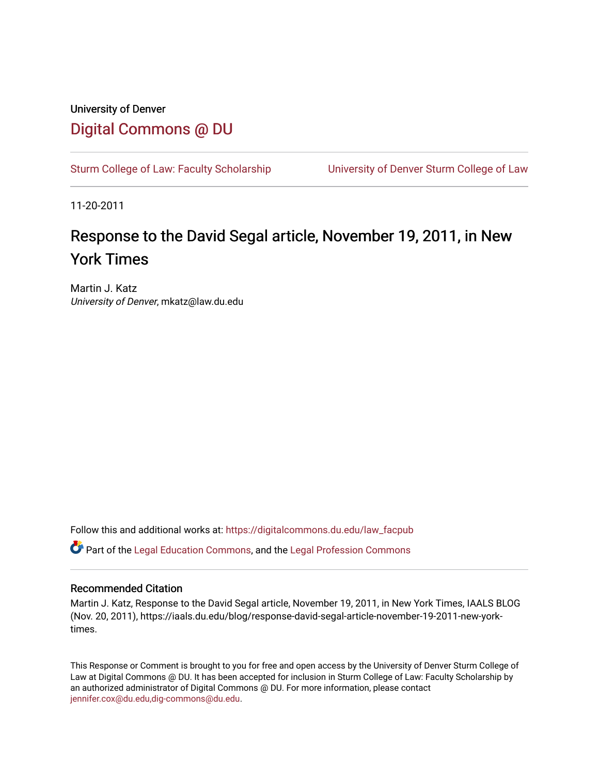### University of Denver [Digital Commons @ DU](https://digitalcommons.du.edu/)

[Sturm College of Law: Faculty Scholarship](https://digitalcommons.du.edu/law_facpub) [University of Denver Sturm College of Law](https://digitalcommons.du.edu/denver_law) 

11-20-2011

## Response to the David Segal article, November 19, 2011, in New York Times

Martin J. Katz University of Denver, mkatz@law.du.edu

Follow this and additional works at: [https://digitalcommons.du.edu/law\\_facpub](https://digitalcommons.du.edu/law_facpub?utm_source=digitalcommons.du.edu%2Flaw_facpub%2F161&utm_medium=PDF&utm_campaign=PDFCoverPages) 

Part of the [Legal Education Commons,](http://network.bepress.com/hgg/discipline/857?utm_source=digitalcommons.du.edu%2Flaw_facpub%2F161&utm_medium=PDF&utm_campaign=PDFCoverPages) and the [Legal Profession Commons](http://network.bepress.com/hgg/discipline/1075?utm_source=digitalcommons.du.edu%2Flaw_facpub%2F161&utm_medium=PDF&utm_campaign=PDFCoverPages) 

#### Recommended Citation

Martin J. Katz, Response to the David Segal article, November 19, 2011, in New York Times, IAALS BLOG (Nov. 20, 2011), https://iaals.du.edu/blog/response-david-segal-article-november-19-2011-new-yorktimes.

This Response or Comment is brought to you for free and open access by the University of Denver Sturm College of Law at Digital Commons @ DU. It has been accepted for inclusion in Sturm College of Law: Faculty Scholarship by an authorized administrator of Digital Commons @ DU. For more information, please contact [jennifer.cox@du.edu,dig-commons@du.edu](mailto:jennifer.cox@du.edu,dig-commons@du.edu).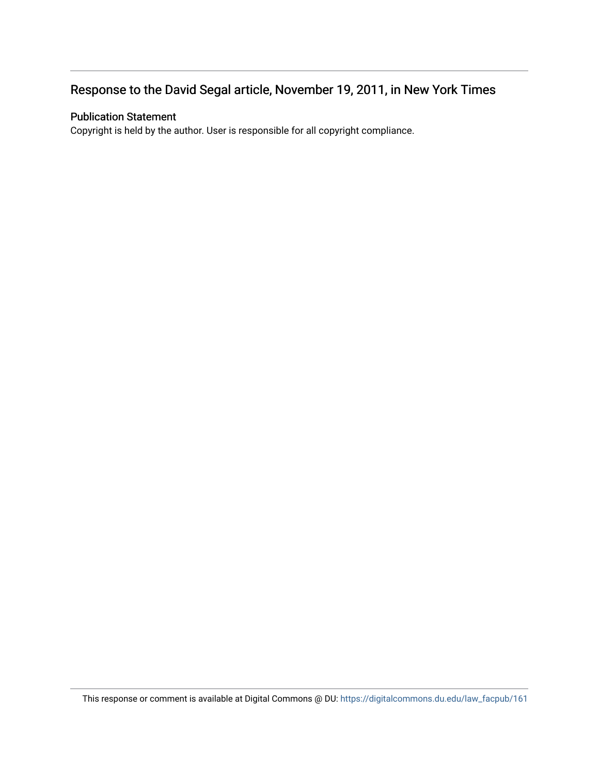#### Response to the David Segal article, November 19, 2011, in New York Times

#### Publication Statement

Copyright is held by the author. User is responsible for all copyright compliance.

This response or comment is available at Digital Commons @ DU: [https://digitalcommons.du.edu/law\\_facpub/161](https://digitalcommons.du.edu/law_facpub/161)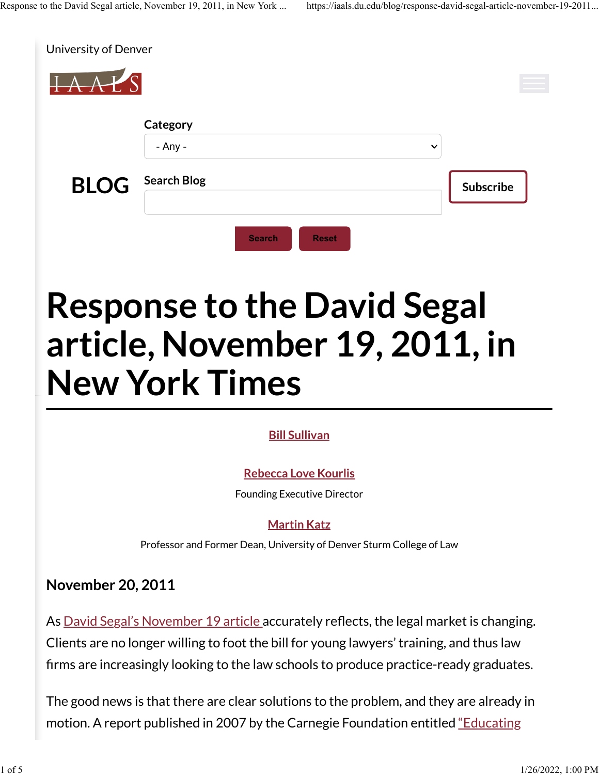| University of Denver |                               |              |           |
|----------------------|-------------------------------|--------------|-----------|
|                      |                               |              |           |
|                      | Category<br>- Any -           | $\checkmark$ |           |
| <b>BLOG</b>          | <b>Search Blog</b>            |              | Subscribe |
|                      | <b>Search</b><br><b>Reset</b> |              |           |

# **Response to the David Segal article, November 19, 2011, in New York Times**

#### **[Bill Sullivan](https://iaals.du.edu/profile/bill-sullivan)**

#### **[Rebecca Love Kourlis](https://iaals.du.edu/profile/rebecca-love-kourlis)**

Founding Executive Director

#### **[Martin Katz](https://iaals.du.edu/profile/martin-katz)**

Professor and Former Dean, University of Denver Sturm College of Law

#### **November 20, 2011**

As [David Segal's November 19 article a](http://www.nytimes.com/2011/11/20/business/after-law-school-associates-learn-to-be-lawyers.html?pagewanted=1&_r=2)ccurately reflects, the legal market is changing. Clients are no longer willing to foot the bill for young lawyers' training, and thus law �rms are increasingly looking to the law schools to produce practice-ready graduates.

The good news is that there are clear solutions to the problem, and they are already in motion. A report published in 2007 by the Carnegie Foundation entitled ["Educating](http://educatingtomorrowslawyers.du.edu/about-etl/carnegie-recommendations/)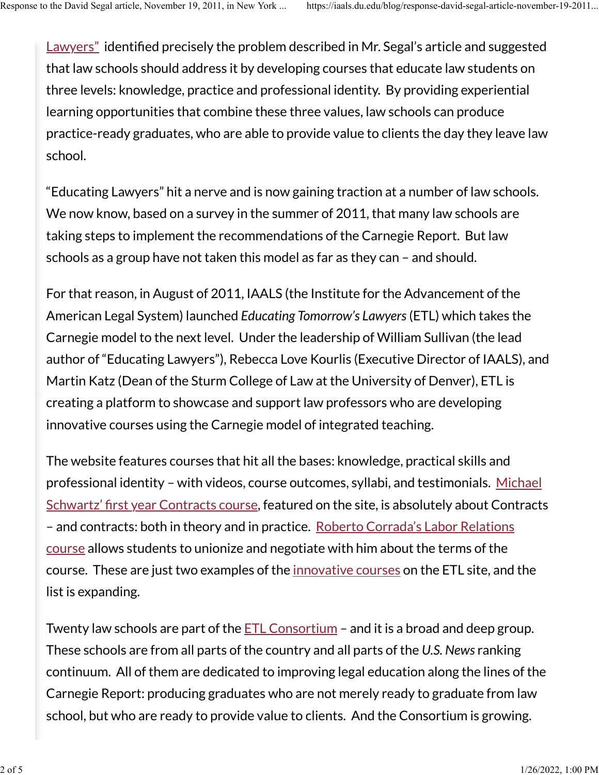[Lawyers"](http://educatingtomorrowslawyers.du.edu/about-etl/carnegie-recommendations/) identified precisely the problem described in Mr. Segal's article and suggested that law schools should address it by developing courses that educate law students on three levels: knowledge, practice and professional identity. By providing experiential learning opportunities that combine these three values, law schools can produce practice-ready graduates, who are able to provide value to clients the day they leave law school.

"Educating Lawyers" hit a nerve and is now gaining traction at a number of law schools. We now know, based on a survey in the summer of 2011, that many law schools are taking steps to implement the recommendations of the Carnegie Report. But law schools as a group have not taken this model as far as they can – and should.

For that reason, in August of 2011, IAALS (the Institute for the Advancement of the American Legal System) launched *Educating Tomorrow's Lawyers* (ETL) which takes the Carnegie model to the next level. Under the leadership of William Sullivan (the lead author of "Educating Lawyers"), Rebecca Love Kourlis (Executive Director of IAALS), and Martin Katz (Dean of the Sturm College of Law at the University of Denver), ETL is creating a platform to showcase and support law professors who are developing innovative courses using the Carnegie model of integrated teaching.

The website features courses that hit all the bases: knowledge, practical skills and professional identity - with videos, course outcomes, syllabi, and testimonials. [Michael](http://educatingtomorrowslawyers.du.edu/course-portfolios/detail/michael-hunter-schwartz) Schwartz' fi[rst year Contracts course,](http://educatingtomorrowslawyers.du.edu/course-portfolios/detail/michael-hunter-schwartz) featured on the site, is absolutely about Contracts – and contracts: both in theory and in practice. [Roberto Corrada's Labor Relations](http://educatingtomorrowslawyers.du.edu/course-portfolios/detail/labor-relations-law) [course](http://educatingtomorrowslawyers.du.edu/course-portfolios/detail/labor-relations-law) allows students to unionize and negotiate with him about the terms of the course. These are just two examples of the [innovative courses](http://educatingtomorrowslawyers.du.edu/course-portfolios/) on the ETL site, and the list is expanding.

Twenty law schools are part of the  $ETL$  Consortium – and it is a broad and deep group. These schools are from all parts of the country and all parts of the *U.S. News* ranking continuum. All of them are dedicated to improving legal education along the lines of the Carnegie Report: producing graduates who are not merely ready to graduate from law school, but who are ready to provide value to clients. And the Consortium is growing.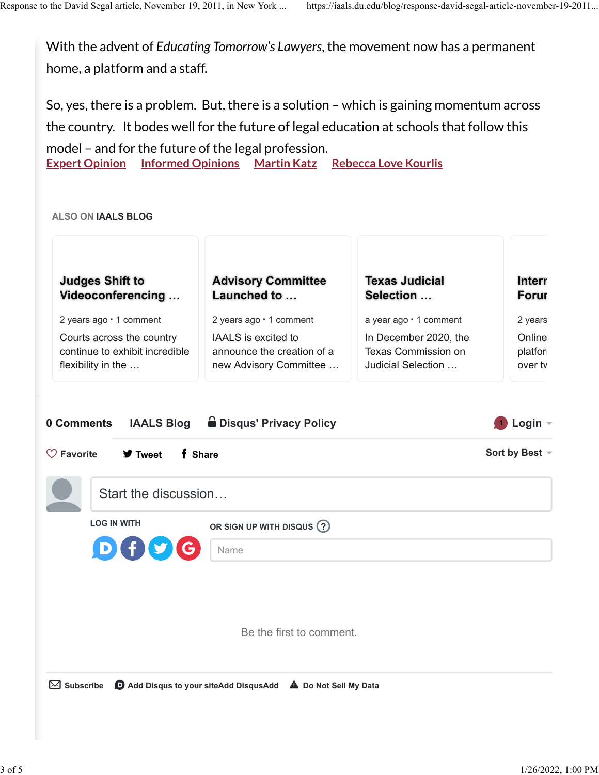With the advent of *Educating Tomorrow's Lawyers*, the movement now has a permanent home, a platform and a staff.

**[Expert Opinion](https://iaals.du.edu/tags/expert-opinion) [Informed Opinions](https://iaals.du.edu/tags/informed-opinions) [Martin Katz](https://iaals.du.edu/tags/martin-katz) [Rebecca Love Kourlis](https://iaals.du.edu/tags/rebecca-love-kourlis)** So, yes, there is a problem. But, there is a solution – which is gaining momentum across the country. It bodes well for the future of legal education at schools that follow this model – and for the future of the legal profession.

**ALSO ON IAALS BLOG**

| <b>Judges Shift to</b>         | <b>Advisory Committee</b>  | <b>Texas Judicial</b>      | Interr  |
|--------------------------------|----------------------------|----------------------------|---------|
| Videoconferencing              | Launched to                | Selection                  | Forur   |
| 2 years ago $\cdot$ 1 comment  | 2 years ago · 1 comment    | a year ago · 1 comment     | 2 years |
| Courts across the country      | IAALS is excited to        | In December 2020, the      | Online  |
| continue to exhibit incredible | announce the creation of a | <b>Texas Commission on</b> | platfor |
| flexibility in the             | new Advisory Committee     | Judicial Selection         | over ty |

| 0 Comments            |                                        | <b>IAALS Blog a</b> Disqus' Privacy Policy | Login $\sim$   |
|-----------------------|----------------------------------------|--------------------------------------------|----------------|
| $\heartsuit$ Favorite | $\blacktriangleright$ Tweet<br>f Share |                                            | Sort by Best - |
|                       | Start the discussion                   |                                            |                |
|                       | <b>LOG IN WITH</b>                     | OR SIGN UP WITH DISQUS (?)                 |                |
|                       | DODG                                   | Name                                       |                |
|                       |                                        |                                            |                |
|                       |                                        |                                            |                |
|                       |                                        | Be the first to comment.                   |                |

✉ **Subscribe** d **Add Disqus to your siteAdd DisqusAdd** ⚠ **Do Not Sell My Data**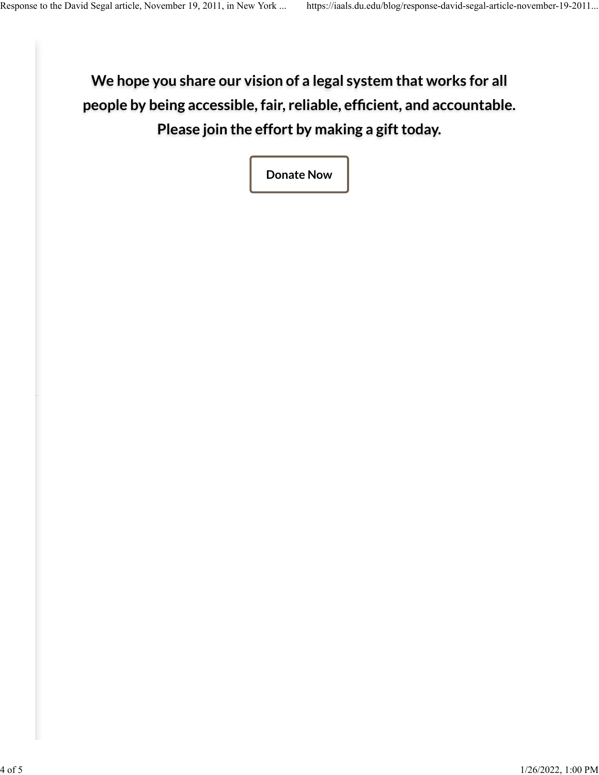**We hope you share our vision of a legal system that works for all people by being accessible, fair, reliable, ef�cient, and accountable. Please join the effort by making a gift today.**

**[Donate Now](https://access.du.edu/s/1150/interior2013/interior-2col.aspx?sid=1150&gid=1001&pgid=6515&cid=10514&dids=244)**